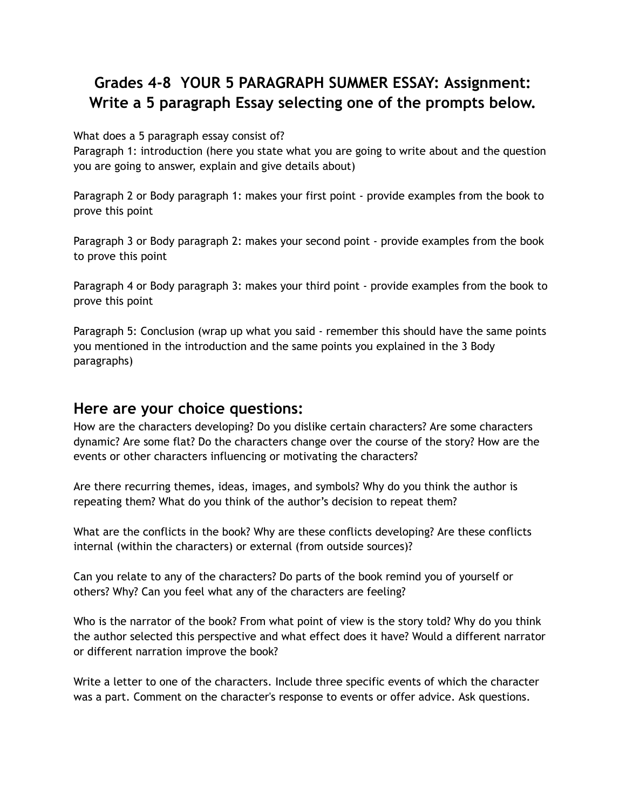## **Grades 4-8 YOUR 5 PARAGRAPH SUMMER ESSAY: Assignment: Write a 5 paragraph Essay selecting one of the prompts below.**

What does a 5 paragraph essay consist of?

Paragraph 1: introduction (here you state what you are going to write about and the question you are going to answer, explain and give details about)

Paragraph 2 or Body paragraph 1: makes your first point - provide examples from the book to prove this point

Paragraph 3 or Body paragraph 2: makes your second point - provide examples from the book to prove this point

Paragraph 4 or Body paragraph 3: makes your third point - provide examples from the book to prove this point

Paragraph 5: Conclusion (wrap up what you said - remember this should have the same points you mentioned in the introduction and the same points you explained in the 3 Body paragraphs)

## **Here are your choice questions:**

How are the characters developing? Do you dislike certain characters? Are some characters dynamic? Are some flat? Do the characters change over the course of the story? How are the events or other characters influencing or motivating the characters?

Are there recurring themes, ideas, images, and symbols? Why do you think the author is repeating them? What do you think of the author's decision to repeat them?

What are the conflicts in the book? Why are these conflicts developing? Are these conflicts internal (within the characters) or external (from outside sources)?

Can you relate to any of the characters? Do parts of the book remind you of yourself or others? Why? Can you feel what any of the characters are feeling?

Who is the narrator of the book? From what point of view is the story told? Why do you think the author selected this perspective and what effect does it have? Would a different narrator or different narration improve the book?

Write a letter to one of the characters. Include three specific events of which the character was a part. Comment on the character's response to events or offer advice. Ask questions.